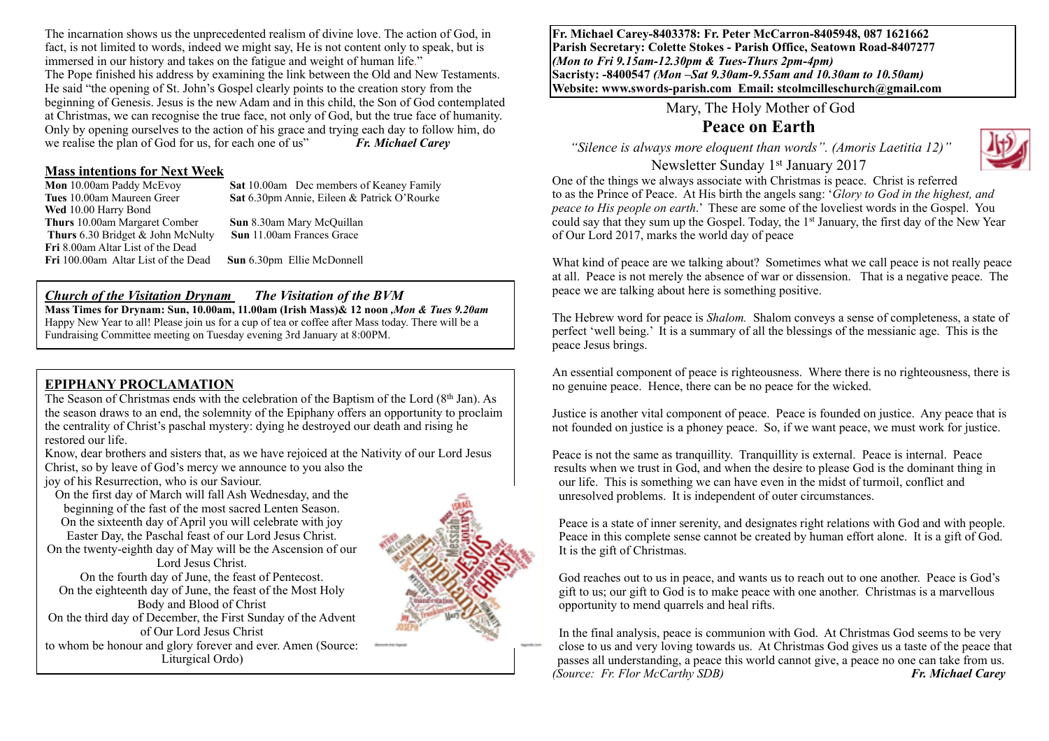The incarnation shows us the unprecedented realism of divine love. The action of God, in fact, is not limited to words, indeed we might say, He is not content only to speak, but is immersed in our history and takes on the fatigue and weight of human life." The Pope finished his address by examining the link between the Old and New Testaments. He said "the opening of St. John's Gospel clearly points to the creation story from the beginning of Genesis. Jesus is the new Adam and in this child, the Son of God contemplated at Christmas, we can recognise the true face, not only of God, but the true face of humanity. Only by opening ourselves to the action of his grace and trying each day to follow him, do we realise the plan of God for us, for each one of us" *Fr. Michael Carey*

# **Mass intentions for Next Week**<br>**Mon** 10.00am Paddy McEvov

**Sat** 10.00am Dec members of Keaney Family **Tues** 10.00am Maureen Greer **Sat** 6.30pm Annie, Eileen & Patrick O'Rourke **Wed** 10.00 Harry Bond **Thurs** 10.00am Margaret Comber **Sun** 8.30am Mary McQuillan  **Thurs** 6.30 Bridget & John McNulty **Sun** 11.00am Frances Grace **Fri** 8.00am Altar List of the Dead<br>**Fri** 100.00am Altar List of the Dead

**Sun** 6.30pm Ellie McDonnell

#### *Church of the Visitation Drynam**The Visitation of the BVM*

**Mass Times for Drynam: Sun, 10.00am, 11.00am (Irish Mass)& 12 noon** *,Mon & Tues 9.20am*  Happy New Year to all! Please join us for a cup of tea or coffee after Mass today. There will be a Fundraising Committee meeting on Tuesday evening 3rd January at 8:00PM.

## **EPIPHANY PROCLAMATION**

The Season of Christmas ends with the celebration of the Baptism of the Lord  $(8<sup>th</sup> Jan)$ . As the season draws to an end, the solemnity of the Epiphany offers an opportunity to proclaim the centrality of Christ's paschal mystery: dying he destroyed our death and rising he restored our life.

Know, dear brothers and sisters that, as we have rejoiced at the Nativity of our Lord Jesus Christ, so by leave of God's mercy we announce to you also the joy of his Resurrection, who is our Saviour.

On the first day of March will fall Ash Wednesday, and the beginning of the fast of the most sacred Lenten Season. On the sixteenth day of April you will celebrate with joy Easter Day, the Paschal feast of our Lord Jesus Christ. On the twenty-eighth day of May will be the Ascension of our

Lord Jesus Christ. On the fourth day of June, the feast of Pentecost. On the eighteenth day of June, the feast of the Most Holy Body and Blood of Christ

On the third day of December, the First Sunday of the Advent of Our Lord Jesus Christ to whom be honour and glory forever and ever. Amen (Source: Liturgical Ordo)



**Fr. Michael Carey-8403378: Fr. Peter McCarron-8405948, 087 1621662 Parish Secretary: Colette Stokes - Parish Office, Seatown Road-8407277**  *(Mon to Fri 9.15am-12.30pm & Tues-Thurs 2pm-4pm)*  **Sacristy: -8400547** *(Mon –Sat 9.30am-9.55am and 10.30am to 10.50am)* **Website: [www.swords-parish.com Email:](http://www.swords-parish.com%20%20email) stcolmcilleschurch@gmail.com**

Mary, The Holy Mother of God

# **Peace on Earth**

*"Silence is always more eloquent than words". (Amoris Laetitia 12)"* Newsletter Sunday 1st January 2017



One of the things we always associate with Christmas is peace. Christ is referred to as the Prince of Peace. At His birth the angels sang: '*Glory to God in the highest, and peace to His people on earth*.' These are some of the loveliest words in the Gospel. You could say that they sum up the Gospel. Today, the 1st January, the first day of the New Year of Our Lord 2017, marks the world day of peace

What kind of peace are we talking about? Sometimes what we call peace is not really peace at all. Peace is not merely the absence of war or dissension. That is a negative peace. The peace we are talking about here is something positive.

The Hebrew word for peace is *Shalom.* Shalom conveys a sense of completeness, a state of perfect 'well being.' It is a summary of all the blessings of the messianic age. This is the peace Jesus brings.

An essential component of peace is righteousness. Where there is no righteousness, there is no genuine peace. Hence, there can be no peace for the wicked.

Justice is another vital component of peace. Peace is founded on justice. Any peace that is not founded on justice is a phoney peace. So, if we want peace, we must work for justice.

Peace is not the same as tranquillity. Tranquillity is external. Peace is internal. Peace results when we trust in God, and when the desire to please God is the dominant thing in our life. This is something we can have even in the midst of turmoil, conflict and unresolved problems. It is independent of outer circumstances.

Peace is a state of inner serenity, and designates right relations with God and with people. Peace in this complete sense cannot be created by human effort alone. It is a gift of God. It is the gift of Christmas.

God reaches out to us in peace, and wants us to reach out to one another. Peace is God's gift to us; our gift to God is to make peace with one another. Christmas is a marvellous opportunity to mend quarrels and heal rifts.

In the final analysis, peace is communion with God. At Christmas God seems to be very close to us and very loving towards us. At Christmas God gives us a taste of the peace that passes all understanding, a peace this world cannot give, a peace no one can take from us. *(Source: Fr. Flor McCarthy SDB) Fr. Michael Carey*